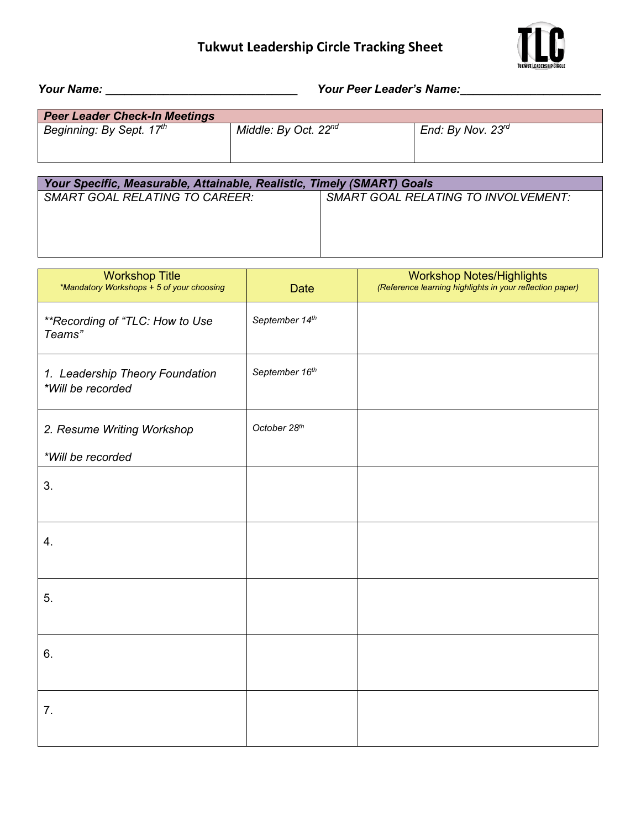## **Tukwut Leadership Circle Tracking Sheet**



*Your Name: \_\_\_\_\_\_\_\_\_\_\_\_\_\_\_\_\_\_\_\_\_\_\_\_\_\_\_\_\_\_ Your Peer Leader's Name:\_\_\_\_\_\_\_\_\_\_\_\_\_\_\_\_\_\_\_\_\_\_* 

| <b>Peer Leader Check-In Meetings</b> |                                  |                        |
|--------------------------------------|----------------------------------|------------------------|
| Beginning: By Sept. 17 <sup>th</sup> | Middle: By Oct. 22 <sup>nd</sup> | End: By Nov. $23^{rd}$ |
|                                      |                                  |                        |
|                                      |                                  |                        |

| Your Specific, Measurable, Attainable, Realistic, Timely (SMART) Goals |                                            |  |  |
|------------------------------------------------------------------------|--------------------------------------------|--|--|
| SMART GOAL RELATING TO CAREER:                                         | <b>SMART GOAL RELATING TO INVOLVEMENT:</b> |  |  |
|                                                                        |                                            |  |  |
|                                                                        |                                            |  |  |
|                                                                        |                                            |  |  |
|                                                                        |                                            |  |  |

| <b>Workshop Title</b><br>*Mandatory Workshops + 5 of your choosing | <b>Date</b>    | <b>Workshop Notes/Highlights</b><br>(Reference learning highlights in your reflection paper) |
|--------------------------------------------------------------------|----------------|----------------------------------------------------------------------------------------------|
| **Recording of "TLC: How to Use<br>Teams"                          | September 14th |                                                                                              |
| 1. Leadership Theory Foundation<br>*Will be recorded               | September 16th |                                                                                              |
| 2. Resume Writing Workshop                                         | October 28th   |                                                                                              |
| *Will be recorded                                                  |                |                                                                                              |
| 3.                                                                 |                |                                                                                              |
| 4.                                                                 |                |                                                                                              |
| 5.                                                                 |                |                                                                                              |
| 6.                                                                 |                |                                                                                              |
| 7.                                                                 |                |                                                                                              |